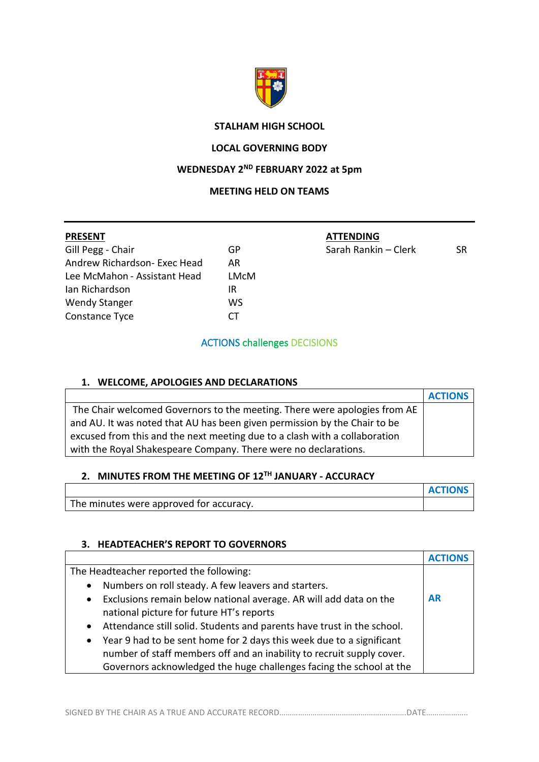

# **STALHAM HIGH SCHOOL**

#### **LOCAL GOVERNING BODY**

### **WEDNESDAY 2 ND FEBRUARY 2022 at 5pm**

### **MEETING HELD ON TEAMS**

| <b>PRESENT</b>               |      | <b>ATTENDING</b>     |           |
|------------------------------|------|----------------------|-----------|
| Gill Pegg - Chair            | GP   | Sarah Rankin - Clerk | <b>SR</b> |
| Andrew Richardson- Exec Head | AR   |                      |           |
| Lee McMahon - Assistant Head | LMcM |                      |           |
| Ian Richardson               | ΙR   |                      |           |
| <b>Wendy Stanger</b>         | ws   |                      |           |
| Constance Tyce               | СT   |                      |           |
|                              |      |                      |           |

# ACTIONS challenges DECISIONS

### **1. WELCOME, APOLOGIES AND DECLARATIONS**

|                                                                            | <b>ACTIONS</b> |
|----------------------------------------------------------------------------|----------------|
| The Chair welcomed Governors to the meeting. There were apologies from AE  |                |
| and AU. It was noted that AU has been given permission by the Chair to be  |                |
| excused from this and the next meeting due to a clash with a collaboration |                |
| with the Royal Shakespeare Company. There were no declarations.            |                |

# **2. MINUTES FROM THE MEETING OF 12TH JANUARY - ACCURACY**

|                                         | <b>ACTIONS</b> |
|-----------------------------------------|----------------|
| The minutes were approved for accuracy. |                |

# **3. HEADTEACHER'S REPORT TO GOVERNORS**

| The Headteacher reported the following:                                             |           |
|-------------------------------------------------------------------------------------|-----------|
| Numbers on roll steady. A few leavers and starters.<br>$\bullet$                    |           |
| Exclusions remain below national average. AR will add data on the<br>$\bullet$      | <b>AR</b> |
| national picture for future HT's reports                                            |           |
| Attendance still solid. Students and parents have trust in the school.<br>$\bullet$ |           |
| • Year 9 had to be sent home for 2 days this week due to a significant              |           |
| number of staff members off and an inability to recruit supply cover.               |           |
| Governors acknowledged the huge challenges facing the school at the                 |           |

SIGNED BY THE CHAIR AS A TRUE AND ACCURATE RECORD…………………………………………………………DATE………………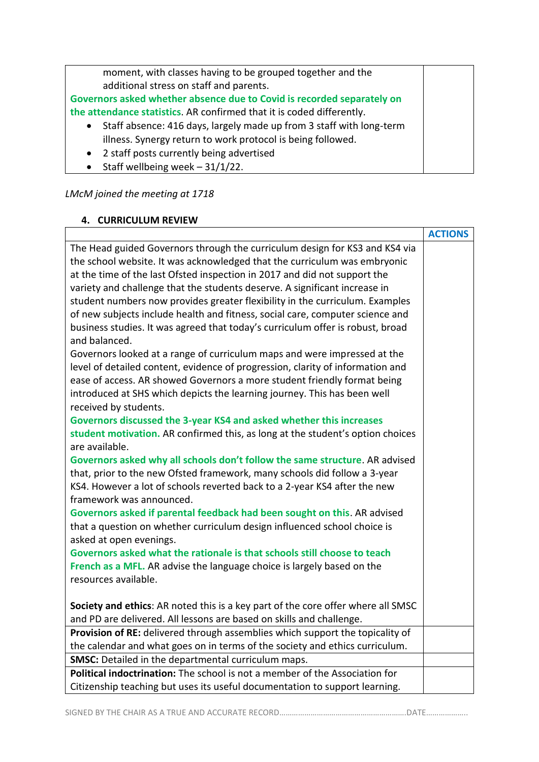moment, with classes having to be grouped together and the additional stress on staff and parents.

**Governors asked whether absence due to Covid is recorded separately on the attendance statistics**. AR confirmed that it is coded differently.

- Staff absence: 416 days, largely made up from 3 staff with long-term illness. Synergy return to work protocol is being followed.
- 2 staff posts currently being advertised
- Staff wellbeing week 31/1/22.

# *LMcM joined the meeting at 1718*

# **4. CURRICULUM REVIEW**

|                                                                                  | <b>ACTIONS</b> |
|----------------------------------------------------------------------------------|----------------|
| The Head guided Governors through the curriculum design for KS3 and KS4 via      |                |
| the school website. It was acknowledged that the curriculum was embryonic        |                |
| at the time of the last Ofsted inspection in 2017 and did not support the        |                |
| variety and challenge that the students deserve. A significant increase in       |                |
| student numbers now provides greater flexibility in the curriculum. Examples     |                |
| of new subjects include health and fitness, social care, computer science and    |                |
| business studies. It was agreed that today's curriculum offer is robust, broad   |                |
| and balanced.                                                                    |                |
| Governors looked at a range of curriculum maps and were impressed at the         |                |
| level of detailed content, evidence of progression, clarity of information and   |                |
| ease of access. AR showed Governors a more student friendly format being         |                |
| introduced at SHS which depicts the learning journey. This has been well         |                |
| received by students.                                                            |                |
| Governors discussed the 3-year KS4 and asked whether this increases              |                |
| student motivation. AR confirmed this, as long at the student's option choices   |                |
| are available.                                                                   |                |
| Governors asked why all schools don't follow the same structure. AR advised      |                |
| that, prior to the new Ofsted framework, many schools did follow a 3-year        |                |
| KS4. However a lot of schools reverted back to a 2-year KS4 after the new        |                |
| framework was announced.                                                         |                |
| Governors asked if parental feedback had been sought on this. AR advised         |                |
| that a question on whether curriculum design influenced school choice is         |                |
| asked at open evenings.                                                          |                |
| Governors asked what the rationale is that schools still choose to teach         |                |
| French as a MFL. AR advise the language choice is largely based on the           |                |
| resources available.                                                             |                |
|                                                                                  |                |
| Society and ethics: AR noted this is a key part of the core offer where all SMSC |                |
| and PD are delivered. All lessons are based on skills and challenge.             |                |
| Provision of RE: delivered through assemblies which support the topicality of    |                |
| the calendar and what goes on in terms of the society and ethics curriculum.     |                |
| <b>SMSC:</b> Detailed in the departmental curriculum maps.                       |                |
| Political indoctrination: The school is not a member of the Association for      |                |
| Citizenship teaching but uses its useful documentation to support learning.      |                |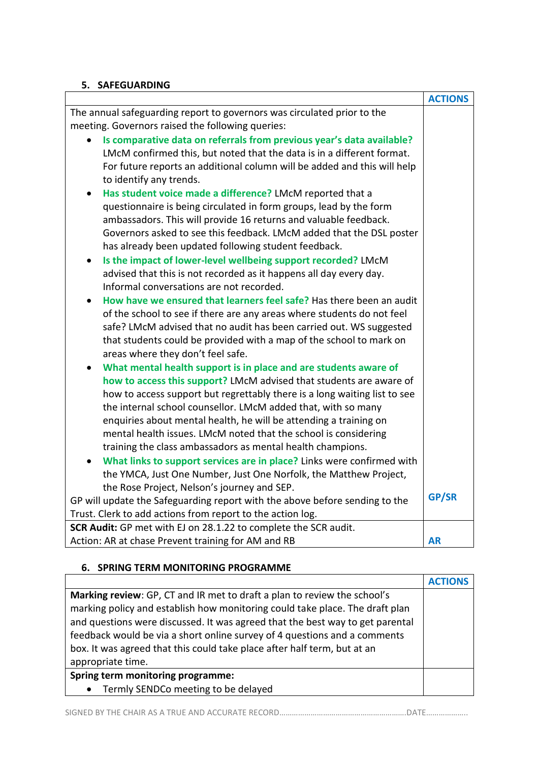### **5. SAFEGUARDING**

|                                                                             | <b>ACTIONS</b> |
|-----------------------------------------------------------------------------|----------------|
| The annual safeguarding report to governors was circulated prior to the     |                |
| meeting. Governors raised the following queries:                            |                |
| Is comparative data on referrals from previous year's data available?       |                |
| LMcM confirmed this, but noted that the data is in a different format.      |                |
| For future reports an additional column will be added and this will help    |                |
| to identify any trends.                                                     |                |
| Has student voice made a difference? LMcM reported that a                   |                |
| questionnaire is being circulated in form groups, lead by the form          |                |
| ambassadors. This will provide 16 returns and valuable feedback.            |                |
| Governors asked to see this feedback. LMcM added that the DSL poster        |                |
| has already been updated following student feedback.                        |                |
| Is the impact of lower-level wellbeing support recorded? LMcM<br>$\bullet$  |                |
| advised that this is not recorded as it happens all day every day.          |                |
| Informal conversations are not recorded.                                    |                |
| How have we ensured that learners feel safe? Has there been an audit        |                |
| of the school to see if there are any areas where students do not feel      |                |
| safe? LMcM advised that no audit has been carried out. WS suggested         |                |
| that students could be provided with a map of the school to mark on         |                |
| areas where they don't feel safe.                                           |                |
| What mental health support is in place and are students aware of            |                |
| how to access this support? LMcM advised that students are aware of         |                |
| how to access support but regrettably there is a long waiting list to see   |                |
| the internal school counsellor. LMcM added that, with so many               |                |
| enquiries about mental health, he will be attending a training on           |                |
| mental health issues. LMcM noted that the school is considering             |                |
| training the class ambassadors as mental health champions.                  |                |
| What links to support services are in place? Links were confirmed with      |                |
| the YMCA, Just One Number, Just One Norfolk, the Matthew Project,           |                |
| the Rose Project, Nelson's journey and SEP.                                 |                |
| GP will update the Safeguarding report with the above before sending to the | <b>GP/SR</b>   |
| Trust. Clerk to add actions from report to the action log.                  |                |
| SCR Audit: GP met with EJ on 28.1.22 to complete the SCR audit.             |                |
| Action: AR at chase Prevent training for AM and RB                          | <b>AR</b>      |

# **6. SPRING TERM MONITORING PROGRAMME**

| Marking review: GP, CT and IR met to draft a plan to review the school's      |  |
|-------------------------------------------------------------------------------|--|
| marking policy and establish how monitoring could take place. The draft plan  |  |
| and questions were discussed. It was agreed that the best way to get parental |  |
| feedback would be via a short online survey of 4 questions and a comments     |  |
| box. It was agreed that this could take place after half term, but at an      |  |
| appropriate time.                                                             |  |
| Spring term monitoring programme:                                             |  |
| Termly SENDCo meeting to be delayed<br>$\bullet$                              |  |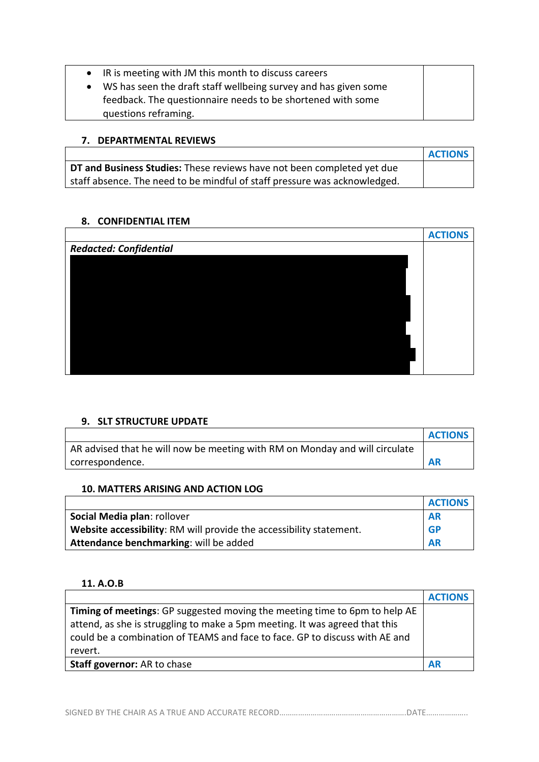| IR is meeting with JM this month to discuss careers             |  |
|-----------------------------------------------------------------|--|
| WS has seen the draft staff wellbeing survey and has given some |  |
| feedback. The questionnaire needs to be shortened with some     |  |
| questions reframing.                                            |  |
|                                                                 |  |

### **7. DEPARTMENTAL REVIEWS**

|                                                                           | <b>ACTIONS</b> |
|---------------------------------------------------------------------------|----------------|
| DT and Business Studies: These reviews have not been completed yet due    |                |
| staff absence. The need to be mindful of staff pressure was acknowledged. |                |

# **8. CONFIDENTIAL ITEM**

|                               | <b>ACTIONS</b> |
|-------------------------------|----------------|
| <b>Redacted: Confidential</b> |                |
|                               |                |
|                               |                |
|                               |                |
|                               |                |
|                               |                |
|                               |                |
|                               |                |
|                               |                |
|                               |                |

### **9. SLT STRUCTURE UPDATE**

|                                                                             | <b>ACTIONS</b> |
|-----------------------------------------------------------------------------|----------------|
| AR advised that he will now be meeting with RM on Monday and will circulate |                |
| correspondence.                                                             | <b>AR</b>      |

# **10. MATTERS ARISING AND ACTION LOG**

|                                                                     | <b>ACTIONS</b> |
|---------------------------------------------------------------------|----------------|
| Social Media plan: rollover                                         | <b>AR</b>      |
| Website accessibility: RM will provide the accessibility statement. | <b>GP</b>      |
| Attendance benchmarking: will be added                              | <b>AR</b>      |

# **11. A.O.B**

|                                                                                                                                                                                                                                          | <b>ACTIONS</b> |
|------------------------------------------------------------------------------------------------------------------------------------------------------------------------------------------------------------------------------------------|----------------|
| Timing of meetings: GP suggested moving the meeting time to 6pm to help AE<br>attend, as she is struggling to make a 5pm meeting. It was agreed that this<br>could be a combination of TEAMS and face to face. GP to discuss with AE and |                |
| revert.                                                                                                                                                                                                                                  |                |
| Staff governor: AR to chase                                                                                                                                                                                                              | <b>AR</b>      |